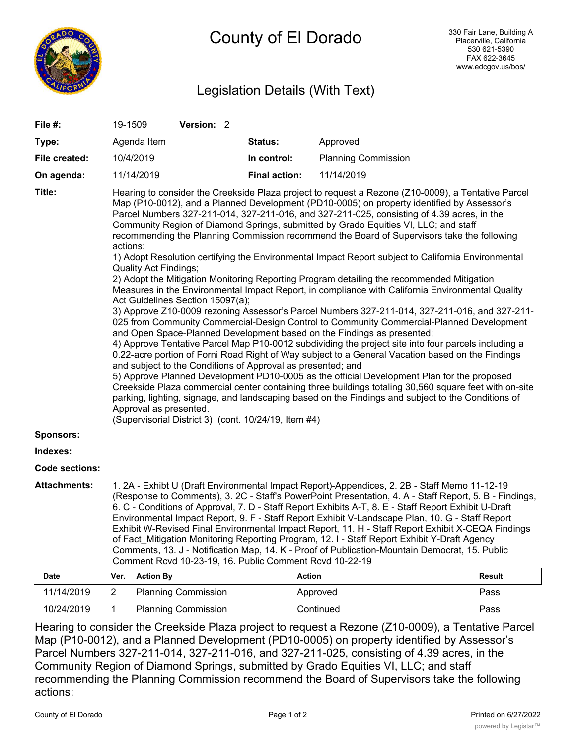

## Legislation Details (With Text)

| File #:             | 19-1509                                                                                                                                                                                                                                                                                                                                                                                                                                                                                                                                                                                                                                                                                                                                                                                                                                                                                                                                                                                                                                                                                                                                                                                                                                                                                                                                                                                                                                                                                                                                                                                                                                                                                                                                                                                                                    |                  | Version: 2                 |  |                      |                            |               |
|---------------------|----------------------------------------------------------------------------------------------------------------------------------------------------------------------------------------------------------------------------------------------------------------------------------------------------------------------------------------------------------------------------------------------------------------------------------------------------------------------------------------------------------------------------------------------------------------------------------------------------------------------------------------------------------------------------------------------------------------------------------------------------------------------------------------------------------------------------------------------------------------------------------------------------------------------------------------------------------------------------------------------------------------------------------------------------------------------------------------------------------------------------------------------------------------------------------------------------------------------------------------------------------------------------------------------------------------------------------------------------------------------------------------------------------------------------------------------------------------------------------------------------------------------------------------------------------------------------------------------------------------------------------------------------------------------------------------------------------------------------------------------------------------------------------------------------------------------------|------------------|----------------------------|--|----------------------|----------------------------|---------------|
| Type:               |                                                                                                                                                                                                                                                                                                                                                                                                                                                                                                                                                                                                                                                                                                                                                                                                                                                                                                                                                                                                                                                                                                                                                                                                                                                                                                                                                                                                                                                                                                                                                                                                                                                                                                                                                                                                                            | Agenda Item      |                            |  | <b>Status:</b>       | Approved                   |               |
| File created:       |                                                                                                                                                                                                                                                                                                                                                                                                                                                                                                                                                                                                                                                                                                                                                                                                                                                                                                                                                                                                                                                                                                                                                                                                                                                                                                                                                                                                                                                                                                                                                                                                                                                                                                                                                                                                                            | 10/4/2019        |                            |  | In control:          | <b>Planning Commission</b> |               |
| On agenda:          |                                                                                                                                                                                                                                                                                                                                                                                                                                                                                                                                                                                                                                                                                                                                                                                                                                                                                                                                                                                                                                                                                                                                                                                                                                                                                                                                                                                                                                                                                                                                                                                                                                                                                                                                                                                                                            | 11/14/2019       |                            |  | <b>Final action:</b> | 11/14/2019                 |               |
| Title:              | Hearing to consider the Creekside Plaza project to request a Rezone (Z10-0009), a Tentative Parcel<br>Map (P10-0012), and a Planned Development (PD10-0005) on property identified by Assessor's<br>Parcel Numbers 327-211-014, 327-211-016, and 327-211-025, consisting of 4.39 acres, in the<br>Community Region of Diamond Springs, submitted by Grado Equities VI, LLC; and staff<br>recommending the Planning Commission recommend the Board of Supervisors take the following<br>actions:<br>1) Adopt Resolution certifying the Environmental Impact Report subject to California Environmental<br><b>Quality Act Findings;</b><br>2) Adopt the Mitigation Monitoring Reporting Program detailing the recommended Mitigation<br>Measures in the Environmental Impact Report, in compliance with California Environmental Quality<br>Act Guidelines Section 15097(a);<br>3) Approve Z10-0009 rezoning Assessor's Parcel Numbers 327-211-014, 327-211-016, and 327-211-<br>025 from Community Commercial-Design Control to Community Commercial-Planned Development<br>and Open Space-Planned Development based on the Findings as presented;<br>4) Approve Tentative Parcel Map P10-0012 subdividing the project site into four parcels including a<br>0.22-acre portion of Forni Road Right of Way subject to a General Vacation based on the Findings<br>and subject to the Conditions of Approval as presented; and<br>5) Approve Planned Development PD10-0005 as the official Development Plan for the proposed<br>Creekside Plaza commercial center containing three buildings totaling 30,560 square feet with on-site<br>parking, lighting, signage, and landscaping based on the Findings and subject to the Conditions of<br>Approval as presented.<br>(Supervisorial District 3) (cont. 10/24/19, Item #4) |                  |                            |  |                      |                            |               |
| Sponsors:           |                                                                                                                                                                                                                                                                                                                                                                                                                                                                                                                                                                                                                                                                                                                                                                                                                                                                                                                                                                                                                                                                                                                                                                                                                                                                                                                                                                                                                                                                                                                                                                                                                                                                                                                                                                                                                            |                  |                            |  |                      |                            |               |
| Indexes:            |                                                                                                                                                                                                                                                                                                                                                                                                                                                                                                                                                                                                                                                                                                                                                                                                                                                                                                                                                                                                                                                                                                                                                                                                                                                                                                                                                                                                                                                                                                                                                                                                                                                                                                                                                                                                                            |                  |                            |  |                      |                            |               |
| Code sections:      |                                                                                                                                                                                                                                                                                                                                                                                                                                                                                                                                                                                                                                                                                                                                                                                                                                                                                                                                                                                                                                                                                                                                                                                                                                                                                                                                                                                                                                                                                                                                                                                                                                                                                                                                                                                                                            |                  |                            |  |                      |                            |               |
| <b>Attachments:</b> | 1. 2A - Exhibt U (Draft Environmental Impact Report)-Appendices, 2. 2B - Staff Memo 11-12-19<br>(Response to Comments), 3. 2C - Staff's PowerPoint Presentation, 4. A - Staff Report, 5. B - Findings,<br>6. C - Conditions of Approval, 7. D - Staff Report Exhibits A-T, 8. E - Staff Report Exhibit U-Draft<br>Environmental Impact Report, 9. F - Staff Report Exhibit V-Landscape Plan, 10. G - Staff Report<br>Exhibit W-Revised Final Environmental Impact Report, 11. H - Staff Report Exhibit X-CEQA Findings<br>of Fact_Mitigation Monitoring Reporting Program, 12. I - Staff Report Exhibit Y-Draft Agency<br>Comments, 13. J - Notification Map, 14. K - Proof of Publication-Mountain Democrat, 15. Public<br>Comment Rcvd 10-23-19, 16. Public Comment Rcvd 10-22-19                                                                                                                                                                                                                                                                                                                                                                                                                                                                                                                                                                                                                                                                                                                                                                                                                                                                                                                                                                                                                                        |                  |                            |  |                      |                            |               |
| <b>Date</b>         | Ver.                                                                                                                                                                                                                                                                                                                                                                                                                                                                                                                                                                                                                                                                                                                                                                                                                                                                                                                                                                                                                                                                                                                                                                                                                                                                                                                                                                                                                                                                                                                                                                                                                                                                                                                                                                                                                       | <b>Action By</b> |                            |  | <b>Action</b>        |                            | <b>Result</b> |
| 11/14/2019          | $\overline{2}$                                                                                                                                                                                                                                                                                                                                                                                                                                                                                                                                                                                                                                                                                                                                                                                                                                                                                                                                                                                                                                                                                                                                                                                                                                                                                                                                                                                                                                                                                                                                                                                                                                                                                                                                                                                                             |                  | <b>Planning Commission</b> |  |                      | Approved                   | Pass          |

Hearing to consider the Creekside Plaza project to request a Rezone (Z10-0009), a Tentative Parcel Map (P10-0012), and a Planned Development (PD10-0005) on property identified by Assessor's Parcel Numbers 327-211-014, 327-211-016, and 327-211-025, consisting of 4.39 acres, in the Community Region of Diamond Springs, submitted by Grado Equities VI, LLC; and staff recommending the Planning Commission recommend the Board of Supervisors take the following actions:

10/24/2019 1 Planning Commission Continued Pass